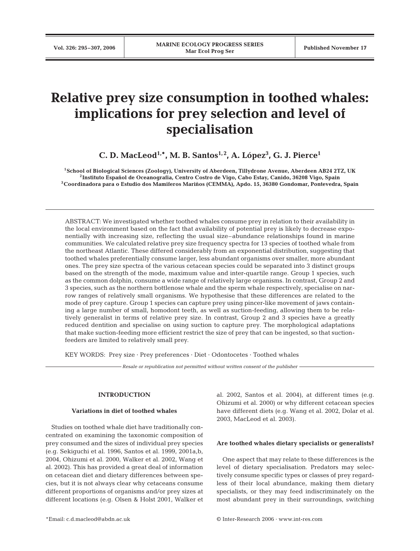# **Relative prey size consumption in toothed whales: implications for prey selection and level of specialisation**

**C. D. MacLeod1,\*, M. B. Santos1, 2, A. López3 , G. J. Pierce1**

**1School of Biological Sciences (Zoology), University of Aberdeen, Tillydrone Avenue, Aberdeen AB24 2TZ, UK 2Instituto Español de Oceanografia, Centro Costro de Vigo, Cabo Estay, Canido, 36208 Vigo, Spain 3Coordinadora para o Estudio dos Mamiferos Mariños (CEMMA), Apdo. 15, 36380 Gondomar, Pontevedra, Spain**

ABSTRACT: We investigated whether toothed whales consume prey in relation to their availability in the local environment based on the fact that availability of potential prey is likely to decrease exponentially with increasing size, reflecting the usual size–abundance relationships found in marine communities. We calculated relative prey size frequency spectra for 13 species of toothed whale from the northeast Atlantic. These differed considerably from an exponential distribution, suggesting that toothed whales preferentially consume larger, less abundant organisms over smaller, more abundant ones. The prey size spectra of the various cetacean species could be separated into 3 distinct groups based on the strength of the mode, maximum value and inter-quartile range. Group 1 species, such as the common dolphin, consume a wide range of relatively large organisms. In contrast, Group 2 and 3 species, such as the northern bottlenose whale and the sperm whale respectively, specialise on narrow ranges of relatively small organisms. We hypothesise that these differences are related to the mode of prey capture. Group 1 species can capture prey using pincer-like movement of jaws containing a large number of small, homodont teeth, as well as suction-feeding, allowing them to be relatively generalist in terms of relative prey size. In contrast, Group 2 and 3 species have a greatly reduced dentition and specialise on using suction to capture prey. The morphological adaptations that make suction-feeding more efficient restrict the size of prey that can be ingested, so that suctionfeeders are limited to relatively small prey.

KEY WORDS: Prey size · Prey preferences · Diet · Odontocetes · Toothed whales

*Resale or republication not permitted without written consent of the publisher*

## **INTRODUCTION**

## **Variations in diet of toothed whales**

Studies on toothed whale diet have traditionally concentrated on examining the taxonomic composition of prey consumed and the sizes of individual prey species (e.g. Sekiguchi et al. 1996, Santos et al. 1999, 2001a,b, 2004, Ohizumi et al. 2000, Walker et al. 2002, Wang et al. 2002). This has provided a great deal of information on cetacean diet and dietary differences between species, but it is not always clear why cetaceans consume different proportions of organisms and/or prey sizes at different locations (e.g. Olsen & Holst 2001, Walker et

al. 2002, Santos et al. 2004), at different times (e.g. Ohizumi et al. 2000) or why different cetacean species have different diets (e.g. Wang et al. 2002, Dolar et al. 2003, MacLeod et al. 2003).

#### **Are toothed whales dietary specialists or generalists?**

One aspect that may relate to these differences is the level of dietary specialisation. Predators may selectively consume specific types or classes of prey regardless of their local abundance, making them dietary specialists, or they may feed indiscriminately on the most abundant prey in their surroundings, switching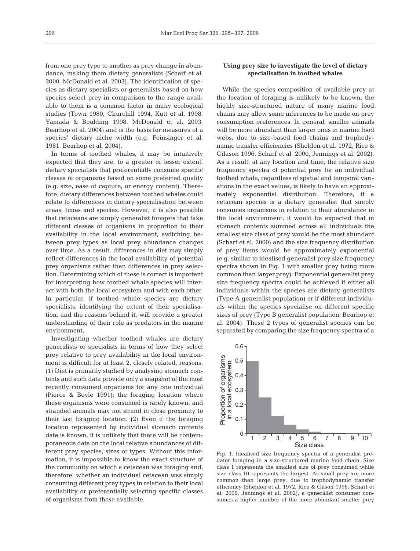from one prey type to another as prey change in abundance, making them dietary generalists (Scharf et al. 2000, McDonald et al. 2003). The identification of species as dietary specialists or generalists based on how species select prey in comparison to the range available to them is a common factor in many ecological studies (Town 1980, Churchill 1994, Kutt et al. 1998, Yamada & Boulding 1998, McDonald et al. 2003, Bearhop et al. 2004) and is the basis for measures of a species' dietary niche width (e.g. Feinsinger et al. 1981, Bearhop et al. 2004).

In terms of toothed whales, it may be intuitively expected that they are, to a greater or lesser extent, dietary specialists that preferentially consume specific classes of organisms based on some preferred quality (e.g. size, ease of capture, or energy content). Therefore, dietary differences between toothed whales could relate to differences in dietary specialisation between areas, times and species. However, it is also possible that cetaceans are simply generalist foragers that take different classes of organisms in proportion to their availability in the local environment, switching between prey types as local prey abundance changes over time. As a result, differences in diet may simply reflect differences in the local availability of potential prey organisms rather than differences in prey selection. Determining which of these is correct is important for interpreting how toothed whale species will interact with both the local ecosystem and with each other. In particular, if toothed whale species are dietary specialists, identifying the extent of their specialisation, and the reasons behind it, will provide a greater understanding of their role as predators in the marine environment.

Investigating whether toothed whales are dietary generalists or specialists in terms of how they select prey relative to prey availability in the local environment is difficult for at least 2, closely related, reasons. (1) Diet is primarily studied by analysing stomach contents and such data provide only a snapshot of the most recently consumed organisms for any one individual (Pierce & Boyle 1991); the foraging location where these organisms were consumed is rarely known, and stranded animals may not strand in close proximity to their last foraging location. (2) Even if the foraging location represented by individual stomach contents data is known, it is unlikely that there will be contemporaneous data on the local relative abundances of different prey species, sizes or types. Without this information, it is impossible to know the exact structure of the community on which a cetacean was foraging and, therefore, whether an individual cetacean was simply consuming different prey types in relation to their local availability or preferentially selecting specific classes of organisms from those available.

# **Using prey size to investigate the level of dietary specialisation in toothed whales**

While the species composition of available prey at the location of foraging is unlikely to be known, the highly size-structured nature of many marine food chains may allow some inferences to be made on prey consumption preferences. In general, smaller animals will be more abundant than larger ones in marine food webs, due to size-based food chains and trophodynamic transfer efficiencies (Sheldon et al. 1972, Rice & Gilason 1996, Scharf et al. 2000, Jennings et al. 2002). As a result, at any location and time, the relative size frequency spectra of potential prey for an individual toothed whale, regardless of spatial and temporal variations in the exact values, is likely to have an approximately exponential distribution. Therefore, if a cetacean species is a dietary generalist that simply consumes organisms in relation to their abundance in the local environment, it would be expected that in stomach contents summed across all individuals the smallest size class of prey would be the most abundant (Scharf et al. 2000) and the size frequency distribution of prey items would be approximately exponential (e.g. similar to idealised generalist prey size frequency spectra shown in Fig. 1 with smaller prey being more common than larger prey). Exponential generalist prey size frequency spectra could be achieved if either all individuals within the species are dietary generalists (Type A generalist population) or if different individuals within the species specialise on different specific sizes of prey (Type B generalist population; Bearhop et al. 2004). These 2 types of generalist species can be separated by comparing the size frequency spectra of a



Fig. 1. Idealised size frequency spectra of a generalist predator foraging in a size-structured marine food chain. Size class 1 represents the smallest size of prey consumed while size class 10 represents the largest. As small prey are more common than large prey, due to trophodynamic transfer efficiency (Sheldon et al. 1972, Rice & Gilson 1996, Scharf et al. 2000, Jennings et al. 2002), a generalist consumer consumes a higher number of the more abundant smaller prey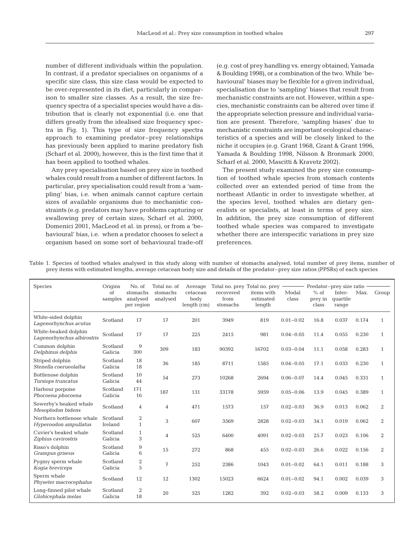number of different individuals within the population. In contrast, if a predator specialises on organisms of a specific size class, this size class would be expected to be over-represented in its diet, particularly in comparison to smaller size classes. As a result, the size frequency spectra of a specialist species would have a distribution that is clearly not exponential (i.e. one that differs greatly from the idealised size frequency spectra in Fig. 1). This type of size frequency spectra approach to examining predator–prey relationships has previously been applied to marine predatory fish (Scharf et al. 2000); however, this is the first time that it has been applied to toothed whales.

Any prey specialisation based on prey size in toothed whales could result from a number of different factors. In particular, prey specialisation could result from a 'sampling' bias, i.e. when animals cannot capture certain sizes of available organisms due to mechanistic constraints (e.g. predators may have problems capturing or swallowing prey of certain sizes; Scharf et al. 2000, Domenici 2001, MacLeod et al. in press), or from a 'behavioural' bias, i.e. when a predator chooses to select a organism based on some sort of behavioural trade-off (e.g. cost of prey handling vs. energy obtained; Yamada & Boulding 1998), or a combination of the two. While 'behavioural' biases may be flexible for a given individual. specialisation due to 'sampling' biases that result from mechanistic constraints are not. However, within a species, mechanistic constraints can be altered over time if the appropriate selection pressure and individual variation are present. Therefore, 'sampling biases' due to mechanistic constraints are important ecological characteristics of a species and will be closely linked to the niche it occupies (e.g. Grant 1968, Grant & Grant 1996, Yamada & Boulding 1998, Nilsson & Bronmark 2000, Scharf et al. 2000, Mascitti & Kravetz 2002).

The present study examined the prey size consumption of toothed whale species from stomach contents collected over an extended period of time from the northeast Atlantic in order to investigate whether, at the species level, toothed whales are dietary generalists or specialists, at least in terms of prey size. In addition, the prey size consumption of different toothed whale species was compared to investigate whether there are interspecific variations in prey size preferences.

Table 1. Species of toothed whales analysed in this study along with number of stomachs analysed, total number of prey items, number of prey items with estimated lengths, average cetacean body size and details of the predator–prey size ratios (PPSRs) of each species

| <b>Species</b>                                     | Origins<br>of<br>samples | No. of<br>stomachs<br>analysed<br>per region | Total no. of<br>stomachs<br>analysed | Average<br>cetacean<br>body<br>$l$ enqth $(cm)$ | Total no. prey Total no. prey<br>recovered<br>from<br>stomachs | items with<br>estimated<br>length | Modal<br>class | $%$ of<br>prey in<br>class | Predator-prey size ratio<br>Inter-<br>quartile<br>range | Max.  | Group          |
|----------------------------------------------------|--------------------------|----------------------------------------------|--------------------------------------|-------------------------------------------------|----------------------------------------------------------------|-----------------------------------|----------------|----------------------------|---------------------------------------------------------|-------|----------------|
| White-sided dolphin<br>Lagenorhynchus acutus       | Scotland                 | 17                                           | 17                                   | 201                                             | 3949                                                           | 819                               | $0.01 - 0.02$  | 16.8                       | 0.037                                                   | 0.174 | $\mathbf{1}$   |
| White-beaked dolphin<br>Lagenorhynchus albirostris | Scotland                 | 17                                           | 17                                   | 225                                             | 2415                                                           | 981                               | $0.04 - 0.05$  | 11.4                       | 0.055                                                   | 0.230 | $\mathbf{1}$   |
| Common dolphin<br>Delphinus delphis                | Scotland<br>Galicia      | $9\,$<br>300                                 | 309                                  | 183                                             | 90392                                                          | 16702                             | $0.03 - 0.04$  | 11.1                       | 0.058                                                   | 0.283 | $\mathbf{1}$   |
| Striped dolphin<br>Stenella coerueolalba           | Scotland<br>Galicia      | 18<br>18                                     | 36                                   | 185                                             | 8711                                                           | 1585                              | $0.04 - 0.05$  | 17.1                       | 0.033                                                   | 0.230 | $\mathbf{1}$   |
| Bottlenose dolphin<br>Tursiops truncatus           | Scotland<br>Galicia      | 10<br>44                                     | 54                                   | 273                                             | 10268                                                          | 2694                              | $0.06 - 0.07$  | 14.4                       | 0.045                                                   | 0.331 | $\mathbf{1}$   |
| Harbour porpoise<br>Phocoena phocoena              | Scotland<br>Galicia      | 171<br>16                                    | 187                                  | 131                                             | 33178                                                          | 5959                              | $0.05 - 0.06$  | 13.9                       | 0.045                                                   | 0.389 | $\mathbf{1}$   |
| Sowerby's beaked whale<br>Mesoplodon bidens        | Scotland                 | $\overline{4}$                               | $\overline{4}$                       | 471                                             | 1573                                                           | 157                               | $0.02 - 0.03$  | 36.9                       | 0.013                                                   | 0.062 | $\overline{2}$ |
| Northern bottlenose whale<br>Hyperoodon ampullatus | Scotland<br>Ireland      | $\sqrt{2}$<br>$\mathbf{1}$                   | 3                                    | 607                                             | 3569                                                           | 2828                              | $0.02 - 0.03$  | 34.1                       | 0.019                                                   | 0.062 | $\overline{2}$ |
| Cuvier's beaked whale<br>Ziphius cavirostris       | Scotland<br>Galicia      | $\mathbf{1}$<br>3                            | $\overline{4}$                       | 525                                             | 6400                                                           | 4091                              | $0.02 - 0.03$  | 25.7                       | 0.023                                                   | 0.106 | $\overline{2}$ |
| Risso's dolphin<br>Grampus griseus                 | Scotland<br>Galicia      | 9<br>6                                       | 15                                   | 272                                             | 868                                                            | 455                               | $0.02 - 0.03$  | 26.6                       | 0.022                                                   | 0.156 | $\overline{2}$ |
| Pygmy sperm whale<br>Kogia breviceps               | Scotland<br>Galicia      | 2<br>5                                       | 7                                    | 252                                             | 2386                                                           | 1043                              | $0.01 - 0.02$  | 64.1                       | 0.011                                                   | 0.188 | 3              |
| Sperm whale<br>Physeter macrocephalus              | Scotland                 | 12                                           | 12                                   | 1302                                            | 15023                                                          | 6624                              | $0.01 - 0.02$  | 94.1                       | 0.002                                                   | 0.039 | 3              |
| Long-finned pilot whale<br>Globicephala melas      | Scotland<br>Galicia      | 2<br>18                                      | 20                                   | 525                                             | 1282                                                           | 392                               | $0.02 - 0.03$  | 58.2                       | 0.009                                                   | 0.133 | 3              |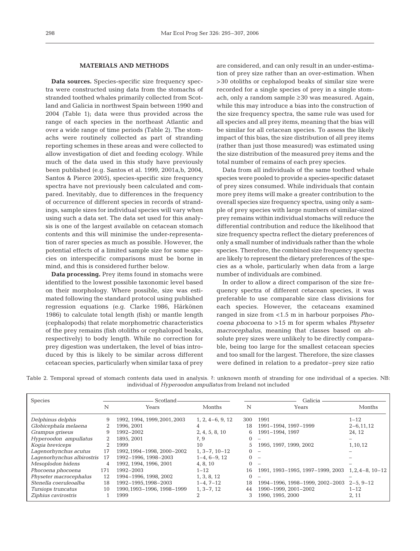## **MATERIALS AND METHODS**

**Data sources.** Species-specific size frequency spectra were constructed using data from the stomachs of stranded toothed whales primarily collected from Scotland and Galicia in northwest Spain between 1990 and 2004 (Table 1); data were thus provided across the range of each species in the northeast Atlantic and over a wide range of time periods (Table 2). The stomachs were routinely collected as part of stranding reporting schemes in these areas and were collected to allow investigation of diet and feeding ecology. While much of the data used in this study have previously been published (e.g. Santos et al. 1999, 2001a,b, 2004, Santos & Pierce 2005), species-specific size frequency spectra have not previously been calculated and compared. Inevitably, due to differences in the frequency of occurrence of different species in records of strandings, sample sizes for individual species will vary when using such a data set. The data set used for this analysis is one of the largest available on cetacean stomach contents and this will minimise the under-representation of rarer species as much as possible. However, the potential effects of a limited sample size for some species on interspecific comparisons must be borne in mind, and this is considered further below.

**Data processing.** Prey items found in stomachs were identified to the lowest possible taxonomic level based on their morphology. Where possible, size was estimated following the standard protocol using published regression equations (e.g. Clarke 1986, Härkönen 1986) to calculate total length (fish) or mantle length (cephalopods) that relate morphometric characteristics of the prey remains (fish otoliths or cephalopod beaks, respectively) to body length. While no correction for prey digestion was undertaken, the level of bias introduced by this is likely to be similar across different cetacean species, particularly when similar taxa of prey are considered, and can only result in an under-estimation of prey size rather than an over-estimation. When >30 otoliths or cephalopod beaks of similar size were recorded for a single species of prey in a single stomach, only a random sample ≥30 was measured. Again, while this may introduce a bias into the construction of the size frequency spectra, the same rule was used for all species and all prey items, meaning that the bias will be similar for all cetacean species. To assess the likely impact of this bias, the size distribution of all prey items (rather than just those measured) was estimated using the size distribution of the measured prey items and the total number of remains of each prey species.

Data from all individuals of the same toothed whale species were pooled to provide a species-specific dataset of prey sizes consumed. While individuals that contain more prey items will make a greater contribution to the overall species size frequency spectra, using only a sample of prey species with large numbers of similar-sized prey remains within individual stomachs will reduce the differential contribution and reduce the likelihood that size frequency spectra reflect the dietary preferences of only a small number of individuals rather than the whole species. Therefore, the combined size frequency spectra are likely to represent the dietary preferences of the species as a whole, particularly when data from a large number of individuals are combined.

In order to allow a direct comparison of the size frequency spectra of different cetacean species, it was preferable to use comparable size class divisions for each species. However, the cetaceans examined ranged in size from <1.5 m in harbour porpoises *Phocoena phocoena* to >15 m for sperm whales *Physeter macrocephalus*, meaning that classes based on absolute prey sizes were unlikely to be directly comparable, being too large for the smallest cetacean species and too small for the largest. Therefore, the size classes were defined in relation to a predator–prey size ratio

| Table 2. Temporal spread of stomach contents data used in analysis. ?: unknown month of stranding for one individual of a species. NB: |  |  |  |                                                                      |  |  |  |  |  |
|----------------------------------------------------------------------------------------------------------------------------------------|--|--|--|----------------------------------------------------------------------|--|--|--|--|--|
|                                                                                                                                        |  |  |  | individual of <i>Hyperoodon ampullatus</i> from Ireland not included |  |  |  |  |  |

| <b>Species</b>             |                             | Scotland-                    |                        | Galicia  |                                  |                     |  |  |  |
|----------------------------|-----------------------------|------------------------------|------------------------|----------|----------------------------------|---------------------|--|--|--|
|                            | N                           | Years                        | <b>Months</b>          | N        | Years                            | Months              |  |  |  |
| Delphinus delphis          | 9                           | 1992, 1994, 1999, 2001, 2003 | $1, 2, 4-6, 9, 12$     | 300      | 1991                             | $1 - 12$            |  |  |  |
| Globicephala melaena       |                             | 1996.2001                    |                        | 18       | 1991-1994, 1997-1999             | $2 - 6, 11, 12$     |  |  |  |
| Grampus griseus            | 9                           | 1992-2002                    | 2, 4, 5, 8, 10         | 6        | 1991-1994, 1997                  | 24, 12              |  |  |  |
| Hyperoodon ampullatus      | $\overline{2}$              | 1895, 2001                   | $\dot{\mathbf{z}}$ , 9 | 0        | $\sim$                           |                     |  |  |  |
| Kogia breviceps            | $\mathcal{D}_{\mathcal{L}}$ | 1999                         | 10                     |          | 1995, 1997, 1999, 2002           | 1,10,12             |  |  |  |
| Lagenorhynchus acutus      | 17                          | 1992, 1994-1998, 2000-2002   | $1, 3-7, 10-12$        | 0        | $\overline{\phantom{a}}$         |                     |  |  |  |
| Lagenorhynchus albirostris | 17                          | 1992-1996, 1998-2003         | $1-4, 6-9, 12$         |          | $\overline{\phantom{a}}$         |                     |  |  |  |
| Mesoplodon bidens          | 4                           | 1992, 1994, 1996, 2001       | 4, 8, 10               |          | $\overline{\phantom{0}}$         |                     |  |  |  |
| Phocoena phocoena          | 171                         | 1992–2003                    | $1 - 12$               | 16       | 1991, 1993–1995, 1997–1999, 2003 | $1.2.4 - 8.10 - 12$ |  |  |  |
| Physeter macrocephalus     | 12                          | 1994-1996, 1998, 2002        | 1, 3, 8, 12            | $\Omega$ | -                                |                     |  |  |  |
| Stenella coeruleoalba      | 18                          | 1992-1995, 1998-2003         | $1-4, 7-12$            | 18       | 1994-1996, 1998-1999, 2002-2003  | $2 - 5.9 - 12$      |  |  |  |
| Tursiops truncatus         | 10                          | 1990, 1993-1996, 1998-1999   | $1, 3-7, 12$           | 44       | 1990-1999, 2001-2002             | $1 - 12$            |  |  |  |
| Ziphius cavirostris        |                             | 1999                         |                        |          | 1990, 1995, 2000                 | 2, 11               |  |  |  |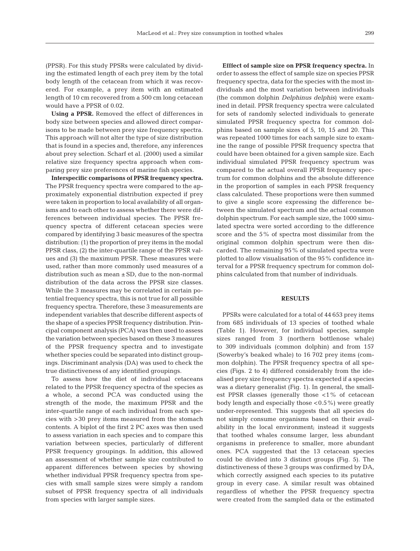(PPSR). For this study PPSRs were calculated by dividing the estimated length of each prey item by the total body length of the cetacean from which it was recovered. For example, a prey item with an estimated length of 10 cm recovered from a 500 cm long cetacean would have a PPSR of 0.02.

**Using a PPSR.** Removed the effect of differences in body size between species and allowed direct comparisons to be made between prey size frequency spectra. This approach will not alter the type of size distribution that is found in a species and, therefore, any inferences about prey selection. Scharf et al. (2000) used a similar relative size frequency spectra approach when comparing prey size preferences of marine fish species.

**Interspecific comparisons of PPSR frequency spectra.** The PPSR frequency spectra were compared to the approximately exponential distribution expected if prey were taken in proportion to local availability of all organisms and to each other to assess whether there were differences between individual species. The PPSR frequency spectra of different cetacean species were compared by identifying 3 basic measures of the spectra distribution: (1) the proportion of prey items in the modal PPSR class, (2) the inter-quartile range of the PPSR values and (3) the maximum PPSR. These measures were used, rather than more commonly used measures of a distribution such as mean  $\pm$  SD, due to the non-normal distribution of the data across the PPSR size classes. While the 3 measures may be correlated in certain potential frequency spectra, this is not true for all possible frequency spectra. Therefore, these 3 measurements are independent variables that describe different aspects of the shape of a species PPSR frequency distribution. Principal component analysis (PCA) was then used to assess the variation between species based on these 3 measures of the PPSR frequency spectra and to investigate whether species could be separated into distinct groupings. Discriminant analysis (DA) was used to check the true distinctiveness of any identified groupings.

To assess how the diet of individual cetaceans related to the PPSR frequency spectra of the species as a whole, a second PCA was conducted using the strength of the mode, the maximum PPSR and the inter-quartile range of each individual from each species with >30 prey items measured from the stomach contents. A biplot of the first 2 PC axes was then used to assess variation in each species and to compare this variation between species, particularly of different PPSR frequency groupings. In addition, this allowed an assessment of whether sample size contributed to apparent differences between species by showing whether individual PPSR frequency spectra from species with small sample sizes were simply a random subset of PPSR frequency spectra of all individuals from species with larger sample sizes.

**Efffect of sample size on PPSR frequency spectra.** In order to assess the effect of sample size on species PPSR frequency spectra, data for the species with the most individuals and the most variation between individuals (the common dolphin *Delphinus delphis*) were examined in detail. PPSR frequency spectra were calculated for sets of randomly selected individuals to generate simulated PPSR frequency spectra for common dolphins based on sample sizes of 5, 10, 15 and 20. This was repeated 1000 times for each sample size to examine the range of possible PPSR frequency spectra that could have been obtained for a given sample size. Each individual simulated PPSR frequency spectrum was compared to the actual overall PPSR frequency spectrum for common dolphins and the absolute difference in the proportion of samples in each PPSR frequency class calculated. These proportions were then summed to give a single score expressing the difference between the simulated spectrum and the actual common dolphin spectrum. For each sample size, the 1000 simulated spectra were sorted according to the difference score and the 5% of spectra most dissimilar from the original common dolphin spectrum were then discarded. The remaining 95% of simulated spectra were plotted to allow visualisation of the 95% confidence interval for a PPSR frequency spectrum for common dolphins calculated from that number of individuals.

#### **RESULTS**

PPSRs were calculated for a total of 44 653 prey items from 685 individuals of 13 species of toothed whale (Table 1). However, for individual species, sample sizes ranged from 3 (northern bottlenose whale) to 309 individuals (common dolphin) and from 157 (Sowerby's beaked whale) to 16 702 prey items (common dolphin). The PPSR frequency spectra of all species (Figs. 2 to 4) differed considerably from the idealised prey size frequency spectra expected if a species was a dietary generalist (Fig. 1). In general, the smallest PPSR classes (generally those  $<1\%$  of cetacean body length and especially those  $<$  0.5%) were greatly under-represented. This suggests that all species do not simply consume organisms based on their availability in the local environment; instead it suggests that toothed whales consume larger, less abundant organisms in preference to smaller, more abundant ones. PCA suggested that the 13 cetacean species could be divided into 3 distinct groups (Fig. 5). The distinctiveness of these 3 groups was confirmed by DA, which correctly assigned each species to its putative group in every case. A similar result was obtained regardless of whether the PPSR frequency spectra were created from the sampled data or the estimated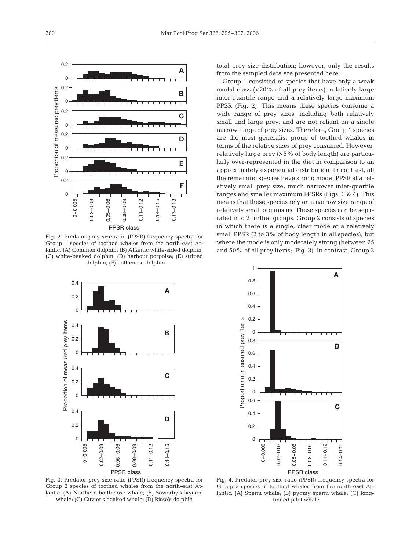

Fig. 2. Predator-prey size ratio (PPSR) frequency spectra for Group 1 species of toothed whales from the north-east Atlantic. (A) Common dolphin; (B) Atlantic white-sided dolphin; (C) white-beaked dolphin; (D) harbour porpoise; (E) striped dolphin; (F) bottlenose dolphin

total prey size distribution; however, only the results from the sampled data are presented here.

Group 1 consisted of species that have only a weak modal class (<20% of all prey items), relatively large inter-quartile range and a relatively large maximum PPSR (Fig. 2). This means these species consume a wide range of prey sizes, including both relatively small and large prey, and are not reliant on a single narrow range of prey sizes. Therefore, Group 1 species are the most generalist group of toothed whales in terms of the relative sizes of prey consumed. However, relatively large prey (>5% of body length) are particularly over-represented in the diet in comparison to an approximately exponential distribution. In contrast, all the remaining species have strong modal PPSR at a relatively small prey size, much narrower inter-quartile ranges and smaller maximum PPSRs (Figs. 3 & 4). This means that these species rely on a narrow size range of relatively small organisms. These species can be separated into 2 further groups. Group 2 consists of species in which there is a single, clear mode at a relatively small PPSR (2 to 3% of body length in all species), but where the mode is only moderately strong (between 25 and 50% of all prey items; Fig. 3). In contrast, Group 3

**A**



PPSR class

Proportion of measured prey items Proportion of measured prey items **B** 0.6 0.4 0.2 0 0.6 **C** 0.4 0.2 0 0–0.005  $0.02 - 0.03$  $0.05 - 0.06$  $0.08 - 0.09$  $0.14 - 0.15$  $0.11 - 0.12$ 0.02–0.03 0.05–0.06 0.08–0.09 0.11–0.12 0.14–0.15 PPSR class

1 0.8 0.6 0.4 0.2 0 0.8

Fig. 3. Predator-prey size ratio (PPSR) frequency spectra for Group 2 species of toothed whales from the north-east Atlantic. (A) Northern bottlenose whale; (B) Sowerby's beaked whale; (C) Cuvier's beaked whale; (D) Risso's dolphin

Fig. 4. Predator-prey size ratio (PPSR) frequency spectra for Group 3 species of toothed whales from the north-east Atlantic. (A) Sperm whale; (B) pygmy sperm whale; (C) longfinned pilot whale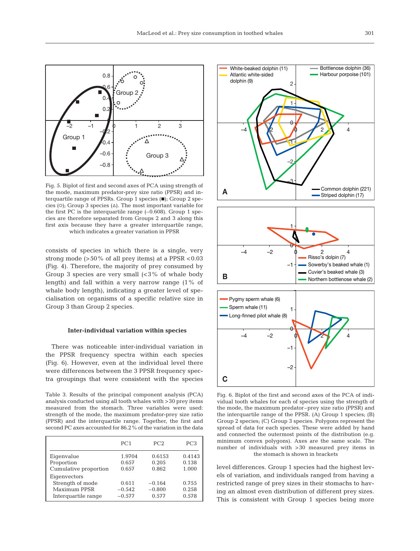

Fig. 5. Biplot of first and second axes of PCA using strength of the mode, maximum predator-prey size ratio (PPSR) and interquartile range of PPSRs. Group 1 species  $(\blacksquare)$ ; Group 2 species (o); Group 3 species ( $\Delta$ ). The most important variable for the first PC is the interquartile range  $(-0.608)$ . Group 1 species are therefore separated from Groups 2 and 3 along this first axis because they have a greater interquartile range, which indicates a greater variation in PPSR

consists of species in which there is a single, very strong mode  $(>50\%$  of all prey items) at a PPSR <0.03 (Fig. 4). Therefore, the majority of prey consumed by Group 3 species are very small  $\langle$ <3% of whale body length) and fall within a very narrow range (1% of whale body length), indicating a greater level of specialisation on organisms of a specific relative size in Group 3 than Group 2 species.

#### **Inter-individual variation within species**

There was noticeable inter-individual variation in the PPSR frequency spectra within each species (Fig. 6). However, even at the individual level there were differences between the 3 PPSR frequency spectra groupings that were consistent with the species

Table 3. Results of the principal component analysis (PCA) analysis conducted using all tooth whales with >30 prey items measured from the stomach. Three variables were used: strength of the mode, the maximum predator-prey size ratio (PPSR) and the interquartile range. Together, the first and second PC axes accounted for 86.2% of the variation in the data

|                       | PC <sub>1</sub> | PC2      | PC <sub>3</sub> |
|-----------------------|-----------------|----------|-----------------|
| Eigenvalue            | 1.9704          | 0.6153   | 0.4143          |
| Proportion            | 0.657           | 0.205    | 0.138           |
| Cumulative proportion | 0.657           | 0.862    | 1.000           |
| Eigenvectors          |                 |          |                 |
| Strength of mode      | 0.611           | $-0.164$ | 0.755           |
| Maximum PPSR          | $-0.542$        | $-0.800$ | 0.258           |
| Interguartile range   | $-0.577$        | 0.577    | 0.578           |
|                       |                 |          |                 |



Fig. 6. Biplot of the first and second axes of the PCA of individual tooth whales for each of species using the strength of the mode, the maximum predator–prey size ratio (PPSR) and the interquartile range of the PPSR. (A) Group 1 species; (B) Group 2 species; (C) Group 3 species. Polygons represent the spread of data for each species. These were added by hand and connected the outermost points of the distribution (e.g. minimum convex polygons). Axes are the same scale. The number of individuals with >30 measured prey items in the stomach is shown in brackets

level differences. Group 1 species had the highest levels of variation, and individuals ranged from having a restricted range of prey sizes in their stomachs to having an almost even distribution of different prey sizes. This is consistent with Group 1 species being more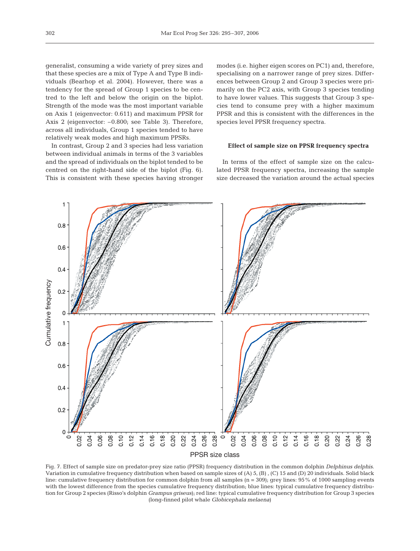generalist, consuming a wide variety of prey sizes and that these species are a mix of Type A and Type B individuals (Bearhop et al. 2004). However, there was a tendency for the spread of Group 1 species to be centred to the left and below the origin on the biplot. Strength of the mode was the most important variable on Axis 1 (eigenvector: 0.611) and maximum PPSR for Axis 2 (eigenvector: –0.800; see Table 3). Therefore, across all individuals, Group 1 species tended to have relatively weak modes and high maximum PPSRs.

In contrast, Group 2 and 3 species had less variation between individual animals in terms of the 3 variables and the spread of individuals on the biplot tended to be centred on the right-hand side of the biplot (Fig. 6). This is consistent with these species having stronger modes (i.e. higher eigen scores on PC1) and, therefore, specialising on a narrower range of prey sizes. Differences between Group 2 and Group 3 species were primarily on the PC2 axis, with Group 3 species tending to have lower values. This suggests that Group 3 species tend to consume prey with a higher maximum PPSR and this is consistent with the differences in the species level PPSR frequency spectra.

#### **Effect of sample size on PPSR frequency spectra**

In terms of the effect of sample size on the calculated PPSR frequency spectra, increasing the sample size decreased the variation around the actual species



Fig. 7. Effect of sample size on predator-prey size ratio (PPSR) frequency distribution in the common dolphin *Delphinus delphis*. Variation in cumulative frequency distribution when based on sample sizes of (A) 5, (B) , (C) 15 and (D) 20 individuals. Solid black line: cumulative frequency distribution for common dolphin from all samples (n = 309); grey lines: 95% of 1000 sampling events with the lowest difference from the species cumulative frequency distribution; blue lines: typical cumulative frequency distribution for Group 2 species (Risso's dolphin *Grampus griseus*); red line: typical cumulative frequency distribution for Group 3 species (long-finned pilot whale *Globicephala melaena*)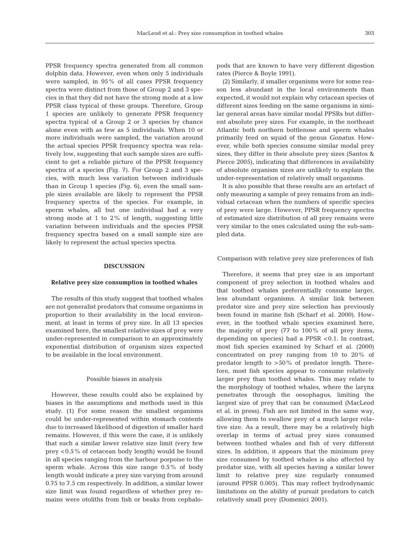PPSR frequency spectra generated from all common dolphin data. However, even when only 5 individuals were sampled, in 95% of all cases PPSR frequency spectra were distinct from those of Group 2 and 3 species in that they did not have the strong mode at a low PPSR class typical of these groups. Therefore, Group 1 species are unlikely to generate PPSR frequency spectra typical of a Group 2 or 3 species by chance alone even with as few as 5 individuals. When 10 or more individuals were sampled, the variation around the actual species PPSR frequency spectra was relatively low, suggesting that such sample sizes are sufficient to get a reliable picture of the PPSR frequency spectra of a species (Fig. 7). For Group 2 and 3 species, with much less variation between individuals than in Group 1 species (Fig. 6), even the small sample sizes available are likely to represent the PPSR frequency spectra of the species. For example, in sperm whales, all but one individual had a very strong mode at 1 to 2% of length, suggesting little variation between individuals and the species PPSR frequency spectra based on a small sample size are likely to represent the actual species spectra.

### **DISCUSSION**

#### **Relative prey size consumption in toothed whales**

The results of this study suggest that toothed whales are not generalist predators that consume organisms in proportion to their availability in the local environment, at least in terms of prey size. In all 13 species examined here, the smallest relative sizes of prey were under-represented in comparison to an approximately exponential distribution of organism sizes expected to be available in the local environment.

#### Possible biases in analysis

However, these results could also be explained by biases in the assumptions and methods used in this study. (1) For some reason the smallest organisms could be under-represented within stomach contents due to increased likelihood of digestion of smaller hard remains. However, if this were the case, it is unlikely that such a similar lower relative size limit (very few prey <0.5% of cetacean body length) would be found in all species ranging from the harbour porpoise to the sperm whale. Across this size range 0.5% of body length would indicate a prey size varying from around 0.75 to 7.5 cm respectively. In addition, a similar lower size limit was found regardless of whether prey remains were otoliths from fish or beaks from cephalopods that are known to have very different digestion rates (Pierce & Boyle 1991).

(2) Similarly, if smaller organisms were for some reason less abundant in the local environments than expected, it would not explain why cetacean species of different sizes feeding on the same organisms in similar general areas have similar modal PPSRs but different absolute prey sizes. For example, in the northeast Atlantic both northern bottlenose and sperm whales primarily feed on squid of the genus *Gonatus*. However, while both species consume similar modal prey sizes, they differ in their absolute prey sizes (Santos & Pierce 2005), indicating that differences in availability of absolute organism sizes are unlikely to explain the under-representation of relatively small organisms.

It is also possible that these results are an artefact of only measuring a sample of prey remains from an individual cetacean when the numbers of specific species of prey were large. However, PPSR frequency spectra of estimated size distribution of all prey remains were very similar to the ones calculated using the sub-sampled data.

#### Comparison with relative prey size preferences of fish

Therefore, it seems that prey size is an important component of prey selection in toothed whales and that toothed whales preferentially consume larger, less abundant organisms. A similar link between predator size and prey size selection has previously been found in marine fish (Scharf et al. 2000). However, in the toothed whale species examined here, the majority of prey (77 to 100% of all prey items, depending on species) had a PPSR <0.1. In contrast, most fish species examined by Scharf et al. (2000) concentrated on prey ranging from 10 to 20% of predator length to >50% of predator length. Therefore, most fish species appear to consume relatively larger prey than toothed whales. This may relate to the morphology of toothed whales, where the larynx penetrates through the oesophagus, limiting the largest size of prey that can be consumed (MacLeod et al. in press). Fish are not limited in the same way, allowing them to swallow prey of a much larger relative size. As a result, there may be a relatively high overlap in terms of actual prey sizes consumed between toothed whales and fish of very different sizes. In addition, it appears that the minimum prey size consumed by toothed whales is also affected by predator size, with all species having a similar lower limit to relative prey size regularly consumed (around PPSR 0.005). This may reflect hydrodynamic limitations on the ability of pursuit predators to catch relatively small prey (Domenici 2001).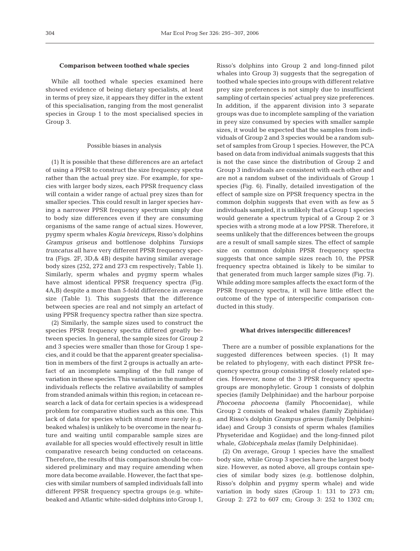## **Comparison between toothed whale species**

While all toothed whale species examined here showed evidence of being dietary specialists, at least in terms of prey size, it appears they differ in the extent of this specialisation, ranging from the most generalist species in Group 1 to the most specialised species in Group 3.

#### Possible biases in analysis

(1) It is possible that these differences are an artefact of using a PPSR to construct the size frequency spectra rather than the actual prey size. For example, for species with larger body sizes, each PPSR frequency class will contain a wider range of actual prey sizes than for smaller species. This could result in larger species having a narrower PPSR frequency spectrum simply due to body size differences even if they are consuming organisms of the same range of actual sizes. However, pygmy sperm whales *Kogia breviceps*, Risso's dolphins *Grampus griseus* and bottlenose dolphins *Tursiops truncatus* all have very different PPSR frequency spectra (Figs. 2F, 3D,& 4B) despite having similar average body sizes (252, 272 and 273 cm respectively; Table 1). Similarly, sperm whales and pygmy sperm whales have almost identical PPSR frequency spectra (Fig. 4A,B) despite a more than 5-fold difference in average size (Table 1). This suggests that the difference between species are real and not simply an artefact of using PPSR frequency spectra rather than size spectra.

(2) Similarly, the sample sizes used to construct the species PPSR frequency spectra differed greatly between species. In general, the sample sizes for Group 2 and 3 species were smaller than those for Group 1 species, and it could be that the apparent greater specialisation in members of the first 2 groups is actually an artefact of an incomplete sampling of the full range of variation in these species. This variation in the number of individuals reflects the relative availability of samples from stranded animals within this region; in cetacean research a lack of data for certain species is a widespread problem for comparative studies such as this one. This lack of data for species which strand more rarely (e.g. beaked whales) is unlikely to be overcome in the near future and waiting until comparable sample sizes are available for all species would effectively result in little comparative research being conducted on cetaceans. Therefore, the results of this comparison should be considered preliminary and may require amending when more data become available. However, the fact that species with similar numbers of sampled individuals fall into different PPSR frequency spectra groups (e.g. whitebeaked and Atlantic white-sided dolphins into Group 1,

Risso's dolphins into Group 2 and long-finned pilot whales into Group 3) suggests that the segregation of toothed whale species into groups with different relative prey size preferences is not simply due to insufficient sampling of certain species' actual prey size preferences. In addition, if the apparent division into 3 separate groups was due to incomplete sampling of the variation in prey size consumed by species with smaller sample sizes, it would be expected that the samples from individuals of Group 2 and 3 species would be a random subset of samples from Group 1 species. However, the PCA based on data from individual animals suggests that this is not the case since the distribution of Group 2 and Group 3 individuals are consistent with each other and are not a random subset of the individuals of Group 1 species (Fig. 6). Finally, detailed investigation of the effect of sample size on PPSR frequency spectra in the common dolphin suggests that even with as few as 5 individuals sampled, it is unlikely that a Group 1 species would generate a spectrum typical of a Group 2 or 3 species with a strong mode at a low PPSR. Therefore, it seems unlikely that the differences between the groups are a result of small sample sizes. The effect of sample size on common dolphin PPSR frequency spectra suggests that once sample sizes reach 10, the PPSR frequency spectra obtained is likely to be similar to that generated from much larger sample sizes (Fig. 7). While adding more samples affects the exact form of the PPSR frequency spectra, it will have little effect the outcome of the type of interspecific comparison conducted in this study.

#### **What drives interspecific differences?**

There are a number of possible explanations for the suggested differences between species. (1) It may be related to phylogeny, with each distinct PPSR frequency spectra group consisting of closely related species. However, none of the 3 PPSR frequency spectra groups are monophyletic. Group 1 consists of dolphin species (family Delphinidae) and the harbour porpoise *Phocoena phocoena* (family Phocoenidae), while Group 2 consists of beaked whales (family Ziphiidae) and Risso's dolphin *Grampus griseus* (family Delphiniidae) and Group 3 consists of sperm whales (families Physeteridae and Kogiidae) and the long-finned pilot whale, *Globicephala melas* (family Delphinidae).

(2) On average, Group 1 species have the smallest body size, while Group 3 species have the largest body size. However, as noted above, all groups contain species of similar body sizes (e.g. bottlenose dolphin, Risso's dolphin and pygmy sperm whale) and wide variation in body sizes (Group 1: 131 to 273 cm; Group 2: 272 to 607 cm; Group 3: 252 to 1302 cm;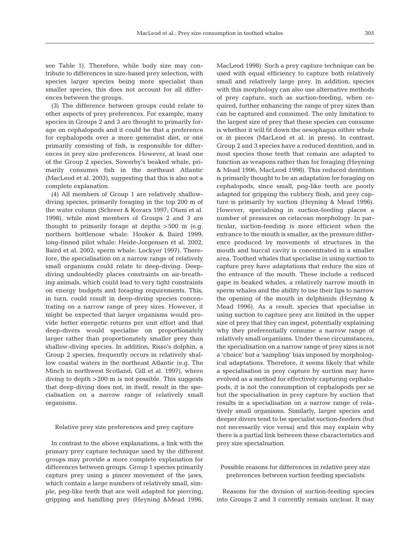see Table 1). Therefore, while body size may contribute to differences in size-based prey selection, with species larger species being more specialist than smaller species, this does not account for all differences between the groups.

(3) The difference between groups could relate to other aspects of prey preferences. For example, many species in Groups 2 and 3 are thought to primarily forage on cephalopods and it could be that a preference for cephalopods over a more generalist diet, or one primarily consisting of fish, is responsible for differences in prey size preferences. However, at least one of the Group 2 species, Sowerby's beaked whale, primarily consumes fish in the northeast Atlantic (MacLeod et al. 2003), suggesting that this is also not a complete explanation.

(4) All members of Group 1 are relatively shallowdiving species, primarily foraging in the top 200 m of the water column (Schreer & Kovacs 1997; Otani et al. 1998), while most members of Groups 2 and 3 are thought to primarily forage at depths >500 m (e.g. northern bottlenose whale: Hooker & Baird 1999; long-finned pilot whale: Heide-Jorgensen et al. 2002, Baird et al. 2002; sperm whale: Lockyer 1997). Therefore, the specialisation on a narrow range of relatively small organisms could relate to deep-diving. Deepdiving undoubtedly places constraints on air-breathing animals, which could lead to very tight constraints on energy budgets and foraging requirements. This, in turn, could result in deep-diving species concentrating on a narrow range of prey sizes. However, it might be expected that larger organisms would provide better energetic returns per unit effort and that deep-divers would specialise on proportionately larger rather than proportionately smaller prey than shallow-diving species. In addition, Risso's dolphin, a Group 2 species, frequently occurs in relatively shallow coastal waters in the northeast Atlantic (e.g. The Minch in northwest Scotland; Gill et al. 1997), where diving to depth >200 m is not possible. This suggests that deep-diving does not, in itself, result in the specialisation on a narrow range of relatively small organisms.

#### Relative prey size preferences and prey capture

In contrast to the above explanations, a link with the primary prey capture technique used by the different groups may provide a more complete explanation for differences between groups. Group 1 species primarily capture prey using a pincer movement of the jaws, which contain a large numbers of relatively small, simple, peg-like teeth that are well adapted for piercing, gripping and handling prey (Heyning &Mead 1996,

MacLeod 1998). Such a prey capture technique can be used with equal efficiency to capture both relatively small and relatively large prey. In addition, species with this morphology can also use alternative methods of prey capture, such as suction-feeding, when required, further enhancing the range of prey sizes than can be captured and consumed. The only limitation to the largest size of prey that these species can consume is whether it will fit down the oesophagus either whole or in pieces (MacLeod et al. in press). In contrast, Group 2 and 3 species have a reduced dentition, and in most species those teeth that remain are adapted to function as weapons rather than for foraging (Heyning & Mead 1996, MacLeod 1998). This reduced dentition is primarily thought to be an adaptation for foraging on cephalopods, since small, peg-like teeth are poorly adapted for gripping the rubbery flesh, and prey capture is primarily by suction (Heyning & Mead 1996). However, specialising in suction-feeding places a number of pressures on cetacean morphology. In particular, suction-feeding is more efficient when the entrance to the mouth is smaller, as the pressure difference produced by movements of structures in the mouth and buccal cavity is concentrated in a smaller area. Toothed whales that specialise in using suction to capture prey have adaptations that reduce the size of the entrance of the mouth. These include a reduced gape in beaked whales, a relatively narrow mouth in sperm whales and the ability to use their lips to narrow the opening of the mouth in delphinids (Heyning & Mead 1996). As a result, species that specialise in using suction to capture prey are limited in the upper size of prey that they can ingest, potentially explaining why they preferentially consume a narrow range of relatively small organisms. Under these circumstances, the specialisation on a narrow range of prey sizes is not a 'choice' but a 'sampling' bias imposed by morphological adaptations. Therefore, it seems likely that while a specialisation in prey capture by suction may have evolved as a method for effectively capturing cephalopods, it is not the consumption of cephalopods per se but the specialisation in prey capture by suction that results in a specialisation on a narrow range of relatively small organisms. Similarly, larger species and deeper divers tend to be specialist suction-feeders (but not necessarily vice versa) and this may explain why there is a partial link between these characteristics and prey size specialisation.

## Possible reasons for differences in relative prey size preferences between suction feeding specialists

Reasons for the division of suction-feeding species into Groups 2 and 3 currently remain unclear. It may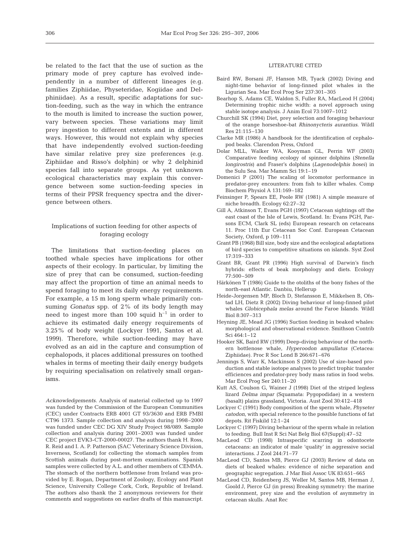be related to the fact that the use of suction as the primary mode of prey capture has evolved independently in a number of different lineages (e.g. families Ziphiidae, Physeteridae, Kogiidae and Delphiniidae). As a result, specific adaptations for suction-feeding, such as the way in which the entrance to the mouth is limited to increase the suction power, vary between species. These variations may limit prey ingestion to different extents and in different ways. However, this would not explain why species that have independently evolved suction-feeding have similar relative prey size preferences (e.g. Ziphiidae and Risso's dolphin) or why 2 delphinid species fall into separate groups. As yet unknown ecological characteristics may explain this convergence between some suction-feeding species in terms of their PPSR frequency spectra and the divergence between others.

# Implications of suction feeding for other aspects of foraging ecology

The limitations that suction-feeding places on toothed whale species have implications for other aspects of their ecology. In particular, by limiting the size of prey that can be consumed, suction-feeding may affect the proportion of time an animal needs to spend foraging to meet its daily energy requirements. For example, a 15 m long sperm whale primarily consuming *Gonatus* spp. of 2% of its body length may need to ingest more than 100 squid  $h^{-1}$  in order to achieve its estimated daily energy requirements of 3.25% of body weight (Lockyer 1991, Santos et al. 1999). Therefore, while suction-feeding may have evolved as an aid in the capture and consumption of cephalopods, it places additional pressures on toothed whales in terms of meeting their daily energy budgets by requiring specialisation on relatively small organisms.

*Acknowledgements.* Analysis of material collected up to 1997 was funded by the Commission of the European Communities (CEC) under Contracts ERB 4001 GT 93/3630 and ERB FMBI CT96 1373. Sample collection and analysis during 1998–2000 was funded under CEC DG XIV Study Project 98/089. Sample collection and analysis during 2001–2003 was funded under CEC project EVK3-CT-2000-00027. The authors thank H. Ross, R. Reid and I. A. P. Patterson (SAC Veterinary Science Division, Inverness, Scotland) for collecting the stomach samples from Scottish animals during post-mortem examinations. Spanish samples were collected by A.L. and other members of CEMMA. The stomach of the northern bottlenose from Ireland was provided by E. Rogan, Department of Zoology, Ecology and Plant Science, University College Cork, Cork, Republic of Ireland. The authors also thank the 2 anonymous reviewers for their comments and suggestions on earlier drafts of this manuscript.

## LITERATURE CITED

- Baird RW, Borsani JF, Hanson MB, Tyack (2002) Diving and night-time behavior of long-finned pilot whales in the Ligurian Sea. Mar Ecol Prog Ser 237:301–305
- Bearhop S, Adams CE, Waldon S, Fuller RA, MacLeod H (2004) Determining trophic niche width: a novel approach using stable isotope analysis. J Anim Ecol 73:1007–1012
- Churchill SK (1994) Diet, prey selection and foraging behaviour of the orange horseshoe-bat *Rhinonycteris aurantius*. Wildl Res 21:115–130
- Clarke MR (1986) A handbook for the identification of cephalopod beaks. Clarendon Press, Oxford
- Dolar MLL, Walker WA, Kooyman GL, Perrin WF (2003) Comparative feeding ecology of spinner dolphins (*Stenella longirostris*) and Fraser's dolphins (*Lagenodelphis hosei*) in the Sulu Sea. Mar Mamm Sci 19:1–19
- Domenici P (2001) The scaling of locomotor performance in predator-prey encounters: from fish to killer whales. Comp Biochem Physiol A 131:169–182
- Feinsinger P, Spears EE, Poole RW (1981) A simple measure of niche breadth. Ecology 62:27–32
- Gill A, Atkinson T, Evans PGH (1997) Cetacean sightings off the east coast of the Isle of Lewis, Scotland. In*:* Evans PGH, Parsons ECM, Clark SL (eds) European research on cetaceans 11. Proc 11th Eur Cetacean Soc Conf. European Cetacean Society, Oxford, p 109–111
- Grant PB (1968) Bill size, body size and the ecological adaptations of bird species to competitive situations on islands. Syst Zool 17:319–333
- Grant BR, Grant PR (1996) High survival of Darwin's finch hybrids: effects of beak morphology and diets. Ecology 77:500–509
- Härkönen T (1986) Guide to the otoliths of the bony fishes of the north-east Atlantic. Danbiu, Hellerup
- Heide-Jorgensen MP, Bloch D, Stefansson E, Mikkelsen B, Ofstad LH, Dietz R (2002) Diving behaviour of long-finned pilot whales *Globicephala melas* around the Faroe Islands. Wildl Biol 8:307–313
- Heyning JE, Mead JG (1996) Suction feeding in beaked whales: morphological and observational evidence. Smithson Contrib Sci 464:1–12
- Hooker SK, Baird RW (1999) Deep-diving behaviour of the northern bottlenose whale, *Hyperoodon ampullatus* (Cetacea: Ziphiidae). Proc R Soc Lond B 266:671–676
- Jennings S, Warr K, Mackinson S (2002) Use of size-based production and stable isotope analyses to predict trophic transfer efficiences and predator-prey body mass ratios in food webs. Mar Ecol Prog Ser 240:11–20
- Kutt AS, Coulson G, Wainer J (1998) Diet of the striped legless lizard *Delma impar* (Squamata: Pygopodidae) in a western (basalt) plains grassland, Victoria. Aust Zool 30:412–418
- Lockyer C (1991) Body composition of the sperm whale, *Physeter catodon*, with special reference to the possible functions of fat depots. Rit Fiskild 12:1–24
- Lockyer C (1997) Diving behaviour of the sperm whale in relation to feeding. Bull Inst R Sci Nat Belg Biol 67(Suppl):47–52
- MacLeod CD (1998) Intraspecific scarring in odontocete cetaceans: an indicator of male 'quality' in aggressive social interactions. J Zool 244:71–77
- MacLeod CD, Santos MB, Pierce GJ (2003) Review of data on diets of beaked whales: evidence of niche separation and geographic segregation. J Mar Biol Assoc UK 83:651–665
- MacLeod CD, Reidenberg JS, Weller M, Santos MB, Herman J, Goold J, Pierce GJ (in press) Breaking symmetry: the marine environment, prey size and the evolution of asymmetry in cetacean skulls. Anat Rec